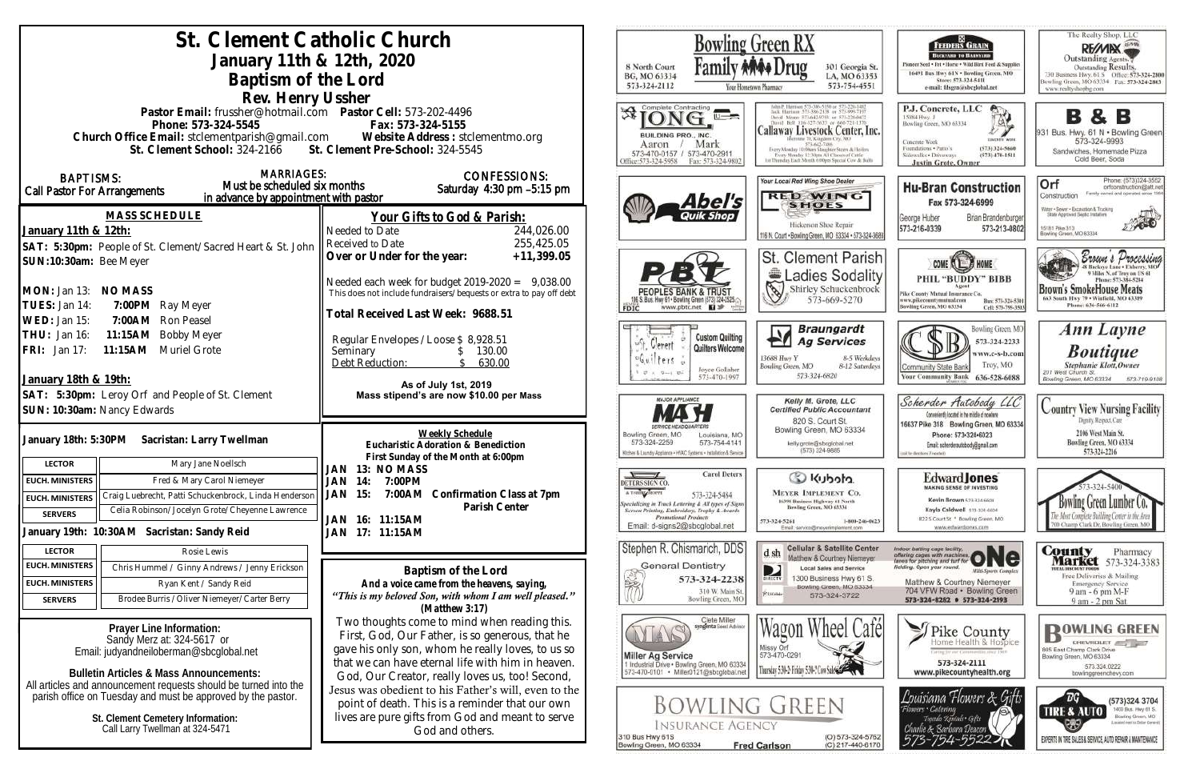| St. Clement Catholic Church                                                                                            |                                                                                                                           | Bowling Green RX                                                                                    |                                                                                                             |  |
|------------------------------------------------------------------------------------------------------------------------|---------------------------------------------------------------------------------------------------------------------------|-----------------------------------------------------------------------------------------------------|-------------------------------------------------------------------------------------------------------------|--|
| January 11th & 12th, 2020                                                                                              |                                                                                                                           |                                                                                                     |                                                                                                             |  |
|                                                                                                                        | 8 North Court<br>301 Georgia St.<br>BG, MO 63334<br>LA, MO 63353                                                          |                                                                                                     |                                                                                                             |  |
| Baptism of the Lord                                                                                                    |                                                                                                                           | 573-324-2112                                                                                        | 573-754-4551<br>Your Hometown Pharmacy                                                                      |  |
| Rev. Henry Ussher                                                                                                      |                                                                                                                           | Complete Contracting                                                                                |                                                                                                             |  |
| Pastor Email: frussher@hotmail.com    Pastor Cell: 573-202-4496<br>Phone: 573-324-5545                                 | Fax: 573-324-5155                                                                                                         |                                                                                                     |                                                                                                             |  |
| Church Office Email: stclementparish@gmail.com Website Address: stclementmo.org                                        |                                                                                                                           | BUILDING PRO., INC.                                                                                 | Callaway Livestock Center, Inc.                                                                             |  |
| St. Clement School: 324-2166 St. Clement Pre-School: 324-5545                                                          |                                                                                                                           | Mark<br>Aaron<br>573-470-0157 / 573-470-2911                                                        | 573-642-7486<br>Every Monday 10:59am Stughter Steers & Heifer<br>Every Monday 12:30nm All Classes of Cattle |  |
|                                                                                                                        |                                                                                                                           | Office: 573-324-5958<br>Fax: 573-324-9802                                                           | 14 Thursday Easty Month 6:00ver Stuared Cow & But                                                           |  |
| <b>MARRIAGES:</b><br><b>BAPTISMS:</b><br>Must be scheduled six months                                                  | <b>CONFESSIONS:</b>                                                                                                       |                                                                                                     | Your Local Red Wing Shoe Dealer                                                                             |  |
| Call Pastor For Arrangements<br>in advance by appointment with pastor                                                  | Saturday 4:30 pm -5:15 pm                                                                                                 | Abel's                                                                                              | <b>RED WING</b>                                                                                             |  |
| <b>MASS SCHEDULE</b>                                                                                                   | Your Gifts to God & Parish:                                                                                               |                                                                                                     | <b>SHOES</b>                                                                                                |  |
| January 11th & 12th:                                                                                                   | 244,026.00<br>Needed to Date                                                                                              |                                                                                                     | Hickerson Shoe Repair                                                                                       |  |
| SAT: 5:30pm: People of St. Clement/Sacred Heart & St. John    Received to Date                                         | 255,425.05                                                                                                                |                                                                                                     | 116 N. Court . Bowling Green, MO 63334 . 573-324-368                                                        |  |
| SUN:10:30am: Bee Meyer                                                                                                 | Over or Under for the year:<br>$+11,399.05$                                                                               |                                                                                                     | St. Clement Parish                                                                                          |  |
|                                                                                                                        |                                                                                                                           |                                                                                                     | Ladies Sodality                                                                                             |  |
| MON: Jan 13: NO MASS                                                                                                   | Needed each week for budget $2019-2020 = 9,038.00$<br>This does not include fundraisers/bequests or extra to pay off debt | PEOPLES BANK & TRUST                                                                                | E<br>Shirley Schuckenbrock                                                                                  |  |
| TUES: Jan 14:<br>7:00PM Ray Meyer                                                                                      |                                                                                                                           | 06 S. Bus. Hwy 61 . Bowling Green (573) 324-2525.<br>www.pbtc.net <b>El</b><br>FDIC                 | 573-669-5270                                                                                                |  |
| 7:00AM Ron Peasel<br>WED: Jan 15:                                                                                      | Fotal Received Last Week: 9688.51                                                                                         |                                                                                                     |                                                                                                             |  |
| 11:15AM Bobby Meyer<br>THU: Jan 16:                                                                                    | Regular Envelopes / Loose \$ 8,928.51                                                                                     | <b>Custom Quilting</b>                                                                              | <b>Braungardt</b><br><b>Ag Services</b>                                                                     |  |
| 11:15AM Muriel Grote<br>FRI: Jan 17:                                                                                   | Seminary<br>130.00<br><sup>S</sup>                                                                                        | Verent<br>Quilters Welcome<br>$f$ $f$ $f$                                                           | 13688 Huy Y<br>8-5 Weekdays                                                                                 |  |
|                                                                                                                        | Debt Reduction:<br>630.00<br>$\mathcal{S}$                                                                                | Joyce Gollaher<br>$9 - 1.9 -$                                                                       | Bowling Green, MO<br>8-12 Saturdays<br>573-324-6820                                                         |  |
| January 18th & 19th:                                                                                                   | As of July 1st, 2019                                                                                                      | 573-470-1997                                                                                        |                                                                                                             |  |
| SAT: 5:30pm: Leroy Orf and People of St. Clement                                                                       | Mass stipend's are now \$10.00 per Mass                                                                                   | MAJOR APPLIANCE                                                                                     | Kelly M. Grote, LLC                                                                                         |  |
| SUN: 10:30am: Nancy Edwards                                                                                            |                                                                                                                           |                                                                                                     | <b>Certified Public Accountant</b><br>820 S. Court St.                                                      |  |
| January 18th: 5:30PM Sacristan: Larry Twellman                                                                         | Weekly Schedule                                                                                                           | Bowling Green, MO<br>Louisiana, MO                                                                  | Bowling Green, MO 63334                                                                                     |  |
|                                                                                                                        | Eucharistic Adoration & Benediction                                                                                       | 573-324-2259<br>573-754-4141<br>Kitchen & Laundry Appliance . HVAC Systems . Installation & Service | kelly.grote@sbcglobal.net<br>(573) 324-9885                                                                 |  |
| <b>LECTOR</b><br>Mary Jane Noellsch                                                                                    | First Sunday of the Month at 6:00pm<br>13: NO MASS<br>JAN                                                                 |                                                                                                     |                                                                                                             |  |
| Fred & Mary Carol Niemeyer<br><b>EUCH. MINISTERS</b>                                                                   | 14:<br>7:00PM<br>JAN                                                                                                      | <b>Carol Deters</b><br>$\sqrt{ }$<br><b>DETERS SIGN CO</b>                                          | C Kubota                                                                                                    |  |
| Craig Luebrecht, Patti Schuckenbrock, Linda Henderson<br><b>EUCH. MINISTERS</b>                                        | <b>JAN 15:</b><br>7:00AM Confirmation Class at 7pm                                                                        | A T-SHIRT SHOPPE<br>573-324-5484<br>pecializing in Truck Lettering & All types of Signs             | <b>MEYER IMPLEMENT CO.</b><br>16398 Business Highway 61 North                                               |  |
| Celia Robinson/Jocelyn Grote/Cheyenne Lawrence<br><b>SERVERS</b>                                                       | Parish Center<br>JAN 16: 11:15AM                                                                                          | Screen Printing, Embroidery, Trophy & Awards<br><b>Promotional Products</b>                         | Bowling Green, MO 63334<br>573-324-5261<br>1-800-246-0623                                                   |  |
| January 19th: 10:30AM Sacristan: Sandy Reid                                                                            | JAN 17: 11:15AM                                                                                                           | Email: d-signs2@sbcglobal.net                                                                       | Email: service@meyerimplement.com                                                                           |  |
| <b>LECTOR</b><br>Rosie Lewis                                                                                           |                                                                                                                           | Stephen R. Chismarich, DDS                                                                          | <b>Cellular &amp; Satellite Center</b><br>d sh                                                              |  |
| <b>EUCH. MINISTERS</b><br>Chris Hummel / Ginny Andrews / Jenny Erickson                                                | Baptism of the Lord                                                                                                       | <b>General Dentistry</b>                                                                            | Matthew & Courtney Niemeyer<br><b>Local Sales and Service</b><br>D                                          |  |
| <b>EUCH. MINISTERS</b><br>Ryan Kent / Sandy Reid                                                                       | And a voice came from the heavens, saying,                                                                                | 573-324-2238                                                                                        | 1300 Business Hwy 61 S.<br>DIRECTV<br>Bowling Green, MO 63334                                               |  |
| Brodee Burris / Oliver Niemeyer/Carter Berry<br><b>SERVERS</b>                                                         | "This is my beloved Son, with whom I am well pleased."                                                                    | 310 W. Main St.<br>Bowling Green, MO                                                                | <b>PUILON</b><br>573-324-3722                                                                               |  |
|                                                                                                                        | $(Mat$ thew 3:17)                                                                                                         | Ciete Miller                                                                                        |                                                                                                             |  |
| Prayer Line Information:                                                                                               | Two thoughts come to mind when reading this.<br>First, God, Our Father, is so generous, that he                           | syngenta Soud Advisor                                                                               | heel Café<br>Wagon w                                                                                        |  |
| Sandy Merz at: 324-5617 or<br>Email: judyandneiloberman@sbcqlobal.net                                                  | gave his only son, whom he really loves, to us so                                                                         |                                                                                                     | Missy Orf                                                                                                   |  |
|                                                                                                                        | that we can have eternal life with him in heaven.                                                                         | <b>Miller Ag Service</b><br>1 Industrial Drive . Bowling Green, MO 63334                            | 573-470-0291<br>Thursday 5:30-2 Friday 5:30-2 Cow Sales                                                     |  |
| <b>Bulletin Articles &amp; Mass Announcements:</b><br>All articles and announcement requests should be turned into the | God, Our Creator, really loves us, too! Second,                                                                           | 573-470-0101 · Miller0121@sbcglobal.net                                                             |                                                                                                             |  |
| parish office on Tuesday and must be approved by the pastor.                                                           | Jesus was obedient to his Father's will, even to the                                                                      |                                                                                                     |                                                                                                             |  |
|                                                                                                                        | point of death. This is a reminder that our own<br>lives are pure gifts from God and meant to serve                       | Bowling Green                                                                                       |                                                                                                             |  |
| St. Clement Cemetery Information:<br>Call Larry Twellman at 324-5471                                                   | God and others.                                                                                                           | <b>INSURANCE AGENCY</b>                                                                             |                                                                                                             |  |
|                                                                                                                        |                                                                                                                           | 310 Bus Hwy 61S<br>Bowling Green, MO 63334                                                          | (O) 573-324-5762<br>(C) 217-440-6170<br><b>Fred Carlson</b>                                                 |  |